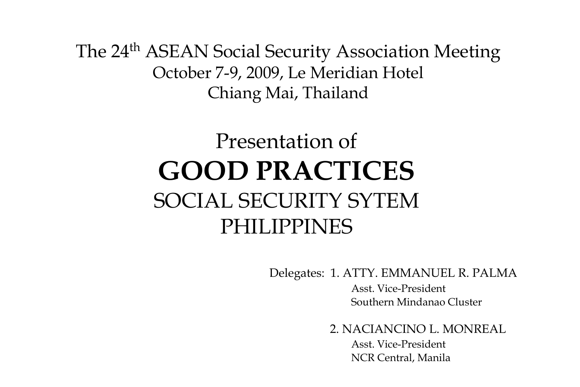The 24<sup>th</sup> ASEAN Social Security Association Meeting October 7-9, 2009, Le Meridian Hotel Chiang Mai, Thailand

# Presentation of **GOOD PRACTICES** SOCIAL SECURITY SYTEM PHILIPPINES

Delegates: 1. ATTY. EMMANUEL R. PALMA

Asst. Vice-President Southern Mindanao Cluster

2. NACIANCINO L. MONREAL

Asst. Vice-President NCR Central, Manila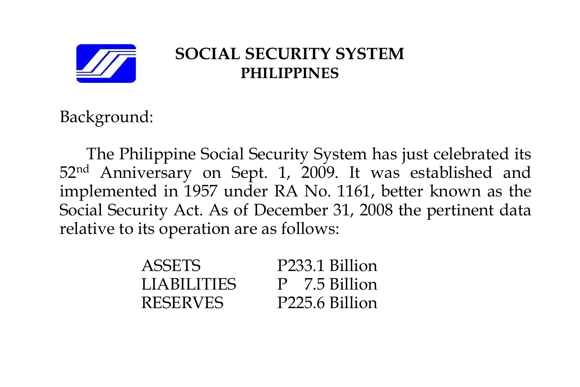

## **SOCIAL SECURITY SYSTEM PHILIPPINES**

Background:

The Philippine Social Security System has just celebrated its 52nd Anniversary on Sept. 1, 2009. It was established and implemented in 1957 under RA No. 1161, better known as the Social Security Act. As of December 31, 2008 the pertinent data relative to its operation are as follows:

| <b>ASSETS</b>      | P233.1 Billion |
|--------------------|----------------|
| <b>LIABILITIES</b> | P 7.5 Billion  |
| <b>RESERVES</b>    | P225.6 Billion |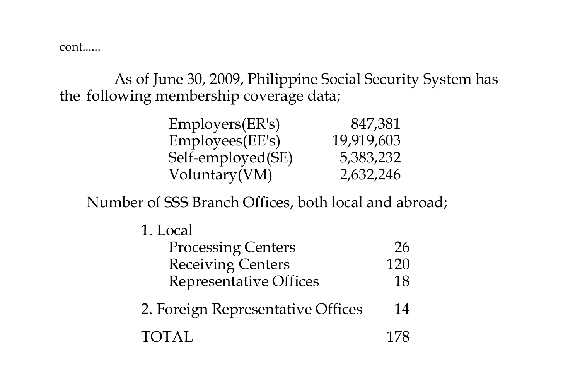cont......

As of June 30, 2009, Philippine Social Security System has the following membership coverage data;

| Employers(ER's)   | 847,381    |
|-------------------|------------|
| Employees(EE's)   | 19,919,603 |
| Self-employed(SE) | 5,383,232  |
| Voluntary(VM)     | 2,632,246  |

Number of SSS Branch Offices, both local and abroad;

| Local |
|-------|
|       |

| <b>Processing Centers</b>     | -26 |
|-------------------------------|-----|
| <b>Receiving Centers</b>      | 120 |
| <b>Representative Offices</b> | 18  |

- 2. Foreign Representative Offices 14
- TOTAL 178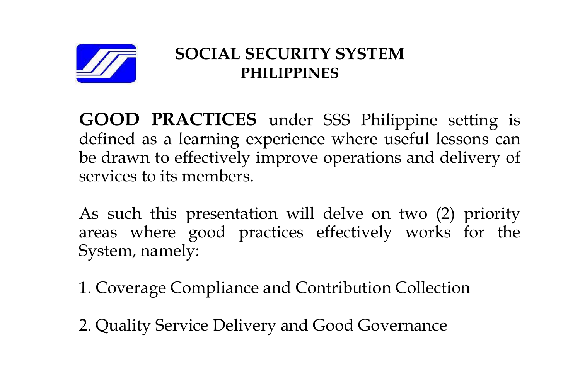

# **SOCIAL SECURITY SYSTEM PHILIPPINES**

**GOOD PRACTICES** under SSS Philippine setting is defined as a learning experience where useful lessons can be drawn to effectively improve operations and delivery of services to its members.

As such this presentation will delve on two (2) priority areas where good practices effectively works for the System, namely:

1. Coverage Compliance and Contribution Collection

2. Quality Service Delivery and Good Governance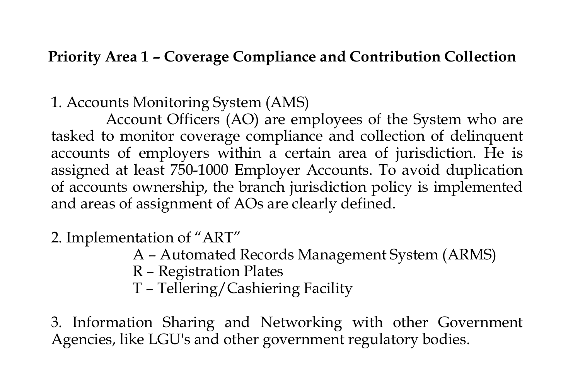#### **Priority Area 1 – Coverage Compliance and Contribution Collection**

#### 1. Accounts Monitoring System (AMS)

Account Officers (AO) are employees of the System who are tasked to monitor coverage compliance and collection of delinquent accounts of employers within a certain area of jurisdiction. He is assigned at least 750-1000 Employer Accounts. To avoid duplication of accounts ownership, the branch jurisdiction policy is implemented and areas of assignment of AOs are clearly defined.

### 2. Implementation of "ART"

- A Automated Records Management System (ARMS)
- R Registration Plates
- T Tellering/Cashiering Facility

3. Information Sharing and Networking with other Government Agencies, like LGU's and other government regulatory bodies.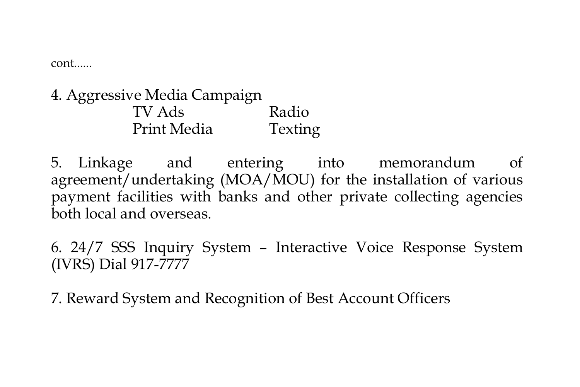cont......

4. Aggressive Media Campaign TV Ads Radio Print Media Texting

5. Linkage and entering into memorandum of agreement/undertaking (MOA/MOU) for the installation of various payment facilities with banks and other private collecting agencies both local and overseas.

6. 24/7 SSS Inquiry System – Interactive Voice Response System (IVRS) Dial 917-7777

7. Reward System and Recognition of Best Account Officers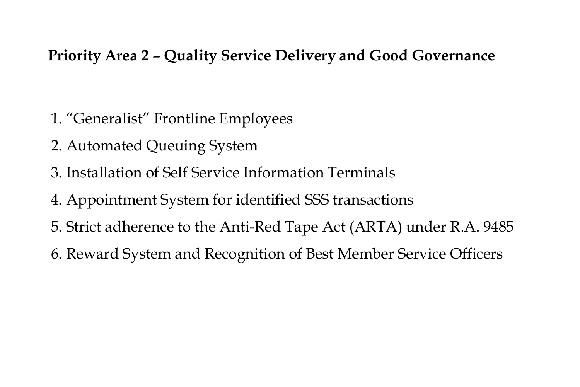#### **Priority Area 2 – Quality Service Delivery and Good Governance**

- 1. "Generalist" Frontline Employees
- 2. Automated Queuing System
- 3. Installation of Self Service Information Terminals
- 4. Appointment System for identified SSS transactions
- 5. Strict adherence to the Anti-Red Tape Act (ARTA) under R.A. 9485
- 6. Reward System and Recognition of Best Member Service Officers